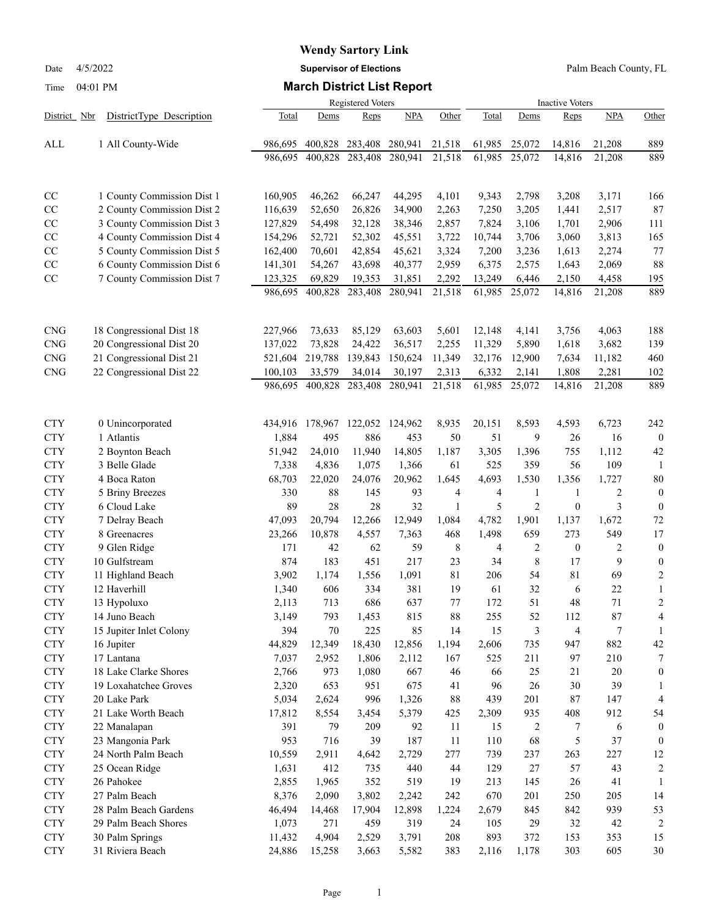Date 4/5/2022 **Supervisor of Elections** Palm Beach County, FL

Time 04:01 PM **March District List Report**

| 0.701111                                 |                                     |                |            |                           |              |          |                |                |                          |                    |                   |  |  |
|------------------------------------------|-------------------------------------|----------------|------------|---------------------------|--------------|----------|----------------|----------------|--------------------------|--------------------|-------------------|--|--|
| District Nbr<br>DistrictType Description |                                     | Total          | Dems       | Registered Voters<br>Reps | NPA          | Other    | Total          | Dems           | <b>Inactive Voters</b>   | Reps<br><b>NPA</b> |                   |  |  |
|                                          |                                     |                |            |                           |              |          |                |                |                          |                    | Other             |  |  |
| ALL                                      | 1 All County-Wide                   | 986,695        | 400,828    | 283,408                   | 280,941      | 21,518   | 61,985         | 25,072         | 14,816                   | 21,208             | 889               |  |  |
|                                          |                                     | 986.695        | 400,828    | 283,408                   | 280,941      | 21,518   | 61,985         | 25,072         | 14,816                   | 21,208             | 889               |  |  |
| CC                                       | 1 County Commission Dist 1          | 160,905        | 46,262     | 66,247                    | 44,295       | 4,101    | 9,343          | 2,798          | 3,208                    | 3,171              | 166               |  |  |
| CC                                       | 2 County Commission Dist 2          | 116,639        | 52,650     | 26,826                    | 34,900       | 2,263    | 7,250          | 3,205          | 1,441                    | 2,517              | 87                |  |  |
| CC                                       | 3 County Commission Dist 3          | 127,829        | 54,498     | 32,128                    | 38,346       | 2,857    | 7,824          | 3,106          | 1,701                    | 2,906              | 111               |  |  |
| CC                                       | 4 County Commission Dist 4          | 154,296        | 52,721     | 52,302                    | 45,551       | 3,722    | 10,744         | 3,706          | 3,060                    | 3,813              | 165               |  |  |
| CC                                       | 5 County Commission Dist 5          | 162,400        | 70,601     | 42,854                    | 45,621       | 3,324    | 7,200          | 3,236          | 1,613                    | 2,274              | 77                |  |  |
| CC                                       | 6 County Commission Dist 6          | 141,301        | 54,267     | 43,698                    | 40,377       | 2,959    | 6,375          | 2,575          | 1,643                    | 2,069              | 88                |  |  |
| CC                                       | 7 County Commission Dist 7          | 123,325        | 69,829     | 19,353                    | 31,851       | 2,292    | 13,249         | 6,446          | 2,150                    | 4,458              | 195               |  |  |
|                                          |                                     | 986,695        | 400,828    | 283,408                   | 280,941      | 21,518   | 61,985         | 25,072         | 14,816                   | 21,208             | 889               |  |  |
| <b>CNG</b>                               | 18 Congressional Dist 18            | 227,966        | 73,633     | 85,129                    | 63,603       | 5,601    | 12,148         | 4,141          | 3,756                    | 4,063              | 188               |  |  |
| <b>CNG</b>                               | 20 Congressional Dist 20            | 137,022        | 73,828     | 24,422                    | 36,517       | 2,255    | 11,329         | 5,890          | 1,618                    | 3,682              | 139               |  |  |
| <b>CNG</b>                               | 21 Congressional Dist 21            | 521,604        | 219,788    | 139,843                   | 150,624      | 11,349   | 32,176         | 12,900         | 7,634                    | 11,182             | 460               |  |  |
| <b>CNG</b>                               | 22 Congressional Dist 22            | 100,103        | 33,579     | 34,014                    | 30,197       | 2,313    | 6,332          | 2,141          | 1,808                    | 2,281              | 102               |  |  |
|                                          |                                     | 986,695        | 400,828    | 283,408                   | 280,941      | 21,518   | 61,985         | 25,072         | 14,816                   | 21,208             | 889               |  |  |
| <b>CTY</b>                               | 0 Unincorporated                    | 434,916        | 178,967    | 122,052                   | 124,962      | 8,935    | 20,151         | 8,593          | 4,593                    | 6,723              | 242               |  |  |
| <b>CTY</b>                               | 1 Atlantis                          | 1,884          | 495        | 886                       | 453          | 50       | 51             | 9              | 26                       | 16                 | $\boldsymbol{0}$  |  |  |
| <b>CTY</b>                               | 2 Boynton Beach                     | 51,942         | 24,010     | 11,940                    | 14,805       | 1,187    | 3,305          | 1,396          | 755                      | 1,112              | 42                |  |  |
| <b>CTY</b>                               | 3 Belle Glade                       | 7,338          | 4,836      | 1,075                     | 1,366        | 61       | 525            | 359            | 56                       | 109                | 1                 |  |  |
| <b>CTY</b>                               | 4 Boca Raton                        | 68,703         | 22,020     | 24,076                    | 20,962       | 1,645    | 4,693          | 1,530          | 1,356                    | 1,727              | 80                |  |  |
| <b>CTY</b>                               | 5 Briny Breezes                     | 330            | 88         | 145                       | 93           | 4        | $\overline{4}$ | $\mathbf{1}$   | $\mathbf{1}$             | 2                  | $\boldsymbol{0}$  |  |  |
| <b>CTY</b>                               | 6 Cloud Lake                        | 89             | 28         | 28                        | 32           | 1        | 5              | $\overline{c}$ | $\boldsymbol{0}$         | 3                  | $\boldsymbol{0}$  |  |  |
| <b>CTY</b>                               | 7 Delray Beach                      | 47,093         | 20,794     | 12,266                    | 12,949       | 1,084    | 4,782          | 1,901          | 1,137                    | 1,672              | 72                |  |  |
| <b>CTY</b>                               | 8 Greenacres                        | 23,266         | 10,878     | 4,557                     | 7,363        | 468      | 1,498          | 659            | 273                      | 549                | 17                |  |  |
| <b>CTY</b>                               | 9 Glen Ridge                        | 171            | 42         | 62                        | 59           | 8        | 4              | $\overline{c}$ | $\boldsymbol{0}$         | $\overline{c}$     | $\boldsymbol{0}$  |  |  |
| <b>CTY</b>                               | 10 Gulfstream                       | 874            | 183        | 451                       | 217          | 23       | 34             | $\,$ 8 $\,$    | 17                       | 9                  | $\boldsymbol{0}$  |  |  |
| <b>CTY</b>                               | 11 Highland Beach                   | 3,902          | 1,174      | 1,556                     | 1,091        | 81       | 206            | 54             | $8\sqrt{1}$              | 69                 | $\boldsymbol{2}$  |  |  |
| <b>CTY</b>                               | 12 Haverhill                        | 1,340          | 606        | 334                       | 381          | 19       | 61             | 32             | 6                        | 22                 | 1                 |  |  |
| <b>CTY</b>                               | 13 Hypoluxo                         | 2,113          | 713        | 686                       | 637          | 77       | 172            | 51             | 48                       | 71                 | $\overline{c}$    |  |  |
| <b>CTY</b>                               | 14 Juno Beach                       | 3,149          | 793        | 1,453                     | 815          | $88\,$   | 255            | 52             | 112                      | 87                 | 4                 |  |  |
| <b>CTY</b>                               | 15 Jupiter Inlet Colony             | 394            | $70\,$     | 225                       | 85           | 14       | 15             | $\mathfrak{Z}$ | $\overline{\mathcal{L}}$ | $\boldsymbol{7}$   | 1                 |  |  |
| <b>CTY</b>                               | 16 Jupiter                          | 44,829         | 12,349     | 18,430                    | 12,856       | 1,194    | 2,606          | 735            | 947                      | 882                | 42                |  |  |
| <b>CTY</b><br><b>CTY</b>                 | 17 Lantana<br>18 Lake Clarke Shores | 7,037          | 2,952      | 1,806                     | 2,112<br>667 | 167      | 525            | 211<br>25      | 97<br>21                 | 210                | 7<br>$\mathbf{0}$ |  |  |
| <b>CTY</b>                               | 19 Loxahatchee Groves               | 2,766<br>2,320 | 973<br>653 | 1,080<br>951              | 675          | 46<br>41 | 66<br>96       | 26             | $30\,$                   | 20<br>39           | 1                 |  |  |
| <b>CTY</b>                               | 20 Lake Park                        | 5,034          | 2,624      | 996                       | 1,326        | $88\,$   | 439            | 201            | 87                       | 147                | 4                 |  |  |
| <b>CTY</b>                               | 21 Lake Worth Beach                 | 17,812         | 8,554      | 3,454                     | 5,379        | 425      | 2,309          | 935            | 408                      | 912                | 54                |  |  |
| <b>CTY</b>                               | 22 Manalapan                        | 391            | 79         | 209                       | 92           | $11\,$   | 15             | $\overline{c}$ | 7                        | 6                  | $\mathbf{0}$      |  |  |
| <b>CTY</b>                               | 23 Mangonia Park                    | 953            | 716        | 39                        | 187          | $11\,$   | 110            | 68             | 5                        | 37                 | $\mathbf{0}$      |  |  |
| <b>CTY</b>                               | 24 North Palm Beach                 | 10,559         | 2,911      | 4,642                     | 2,729        | 277      | 739            | 237            | 263                      | 227                | 12                |  |  |
| <b>CTY</b>                               | 25 Ocean Ridge                      | 1,631          | 412        | 735                       | 440          | $44$     | 129            | $27\,$         | 57                       | 43                 | $\overline{2}$    |  |  |
| <b>CTY</b>                               | 26 Pahokee                          | 2,855          | 1,965      | 352                       | 519          | 19       | 213            | 145            | 26                       | 41                 | 1                 |  |  |
| <b>CTY</b>                               | 27 Palm Beach                       | 8,376          | 2,090      | 3,802                     | 2,242        | 242      | 670            | 201            | 250                      | 205                | 14                |  |  |
| <b>CTY</b>                               | 28 Palm Beach Gardens               | 46,494         | 14,468     | 17,904                    | 12,898       | 1,224    | 2,679          | 845            | 842                      | 939                | 53                |  |  |
| <b>CTY</b>                               | 29 Palm Beach Shores                | 1,073          | 271        | 459                       | 319          | 24       | 105            | 29             | 32                       | 42                 | $\overline{2}$    |  |  |
| <b>CTY</b>                               | 30 Palm Springs                     | 11,432         | 4,904      | 2,529                     | 3,791        | 208      | 893            | 372            | 153                      | 353                | 15                |  |  |
| <b>CTY</b>                               | 31 Riviera Beach                    | 24,886         | 15,258     | 3,663                     | 5,582        | 383      | 2,116          | 1,178          | 303                      | 605                | 30                |  |  |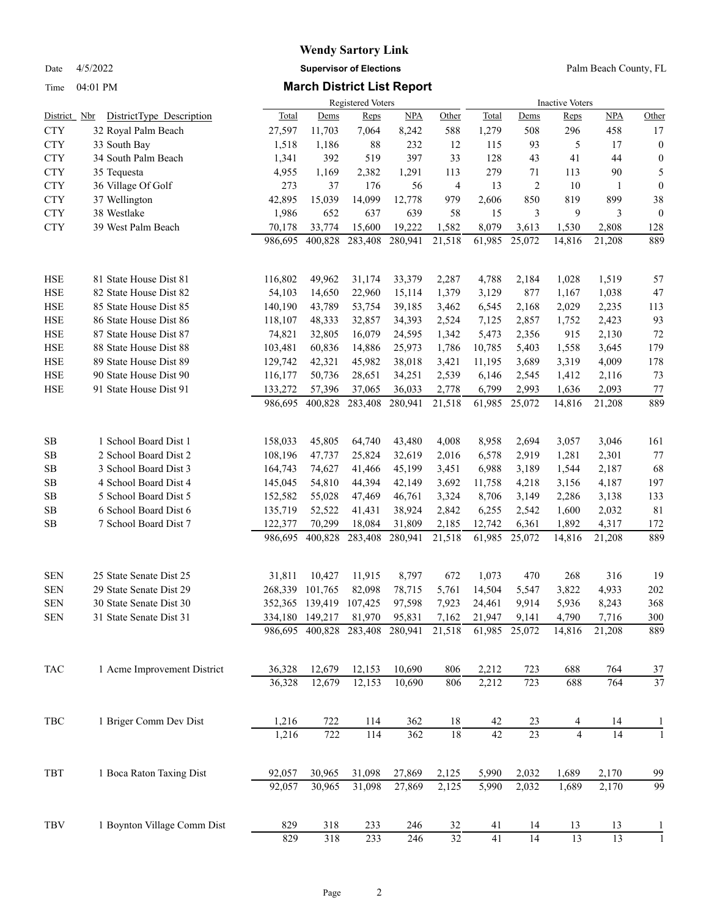# **Wendy Sartory Link** Date 4/5/2022 **Supervisor of Elections** Palm Beach County, FL

### Time 04:01 PM **March District List Report**

|              |                             |         |                 | <b>Registered Voters</b> |            |        |        |                 | <b>Inactive Voters</b> |            |                  |
|--------------|-----------------------------|---------|-----------------|--------------------------|------------|--------|--------|-----------------|------------------------|------------|------------------|
| District Nbr | DistrictType Description    | Total   | Dems            | Reps                     | <b>NPA</b> | Other  | Total  | Dems            | Reps                   | <b>NPA</b> | Other            |
| <b>CTY</b>   | 32 Royal Palm Beach         | 27,597  | 11,703          | 7,064                    | 8,242      | 588    | 1,279  | 508             | 296                    | 458        | 17               |
| <b>CTY</b>   | 33 South Bay                | 1,518   | 1,186           | 88                       | 232        | 12     | 115    | 93              | 5                      | 17         | $\boldsymbol{0}$ |
| <b>CTY</b>   | 34 South Palm Beach         | 1,341   | 392             | 519                      | 397        | 33     | 128    | 43              | 41                     | 44         | $\boldsymbol{0}$ |
| <b>CTY</b>   | 35 Tequesta                 | 4,955   | 1,169           | 2,382                    | 1,291      | 113    | 279    | 71              | 113                    | 90         | 5                |
| <b>CTY</b>   | 36 Village Of Golf          | 273     | 37              | 176                      | 56         | 4      | 13     | $\overline{2}$  | 10                     | 1          | $\boldsymbol{0}$ |
| <b>CTY</b>   | 37 Wellington               | 42,895  | 15,039          | 14,099                   | 12,778     | 979    | 2,606  | 850             | 819                    | 899        | $38\,$           |
| <b>CTY</b>   | 38 Westlake                 | 1,986   | 652             | 637                      | 639        | 58     | 15     | 3               | 9                      | 3          | $\boldsymbol{0}$ |
| <b>CTY</b>   | 39 West Palm Beach          | 70,178  | 33,774          | 15,600                   | 19,222     | 1,582  | 8,079  | 3,613           | 1,530                  | 2,808      | 128              |
|              |                             | 986,695 | 400,828         | 283,408                  | 280,941    | 21,518 | 61,985 | 25,072          | 14,816                 | 21,208     | 889              |
| <b>HSE</b>   | 81 State House Dist 81      | 116,802 | 49,962          | 31,174                   | 33,379     | 2,287  | 4,788  | 2,184           | 1,028                  | 1,519      | 57               |
| <b>HSE</b>   | 82 State House Dist 82      | 54,103  | 14,650          | 22,960                   | 15,114     | 1,379  | 3,129  | 877             | 1,167                  | 1,038      | 47               |
| <b>HSE</b>   | 85 State House Dist 85      | 140,190 | 43,789          | 53,754                   | 39,185     | 3,462  | 6,545  | 2,168           | 2,029                  | 2,235      | 113              |
| <b>HSE</b>   | 86 State House Dist 86      | 118,107 | 48,333          | 32,857                   | 34,393     | 2,524  | 7,125  | 2,857           | 1,752                  | 2,423      | 93               |
| <b>HSE</b>   | 87 State House Dist 87      | 74,821  | 32,805          | 16,079                   | 24,595     | 1,342  | 5,473  | 2,356           | 915                    | 2,130      | 72               |
| <b>HSE</b>   | 88 State House Dist 88      | 103,481 | 60,836          | 14,886                   | 25,973     | 1,786  | 10,785 | 5,403           | 1,558                  | 3,645      | 179              |
| <b>HSE</b>   | 89 State House Dist 89      | 129,742 | 42,321          | 45,982                   | 38,018     | 3,421  | 11,195 | 3,689           | 3,319                  | 4,009      | 178              |
| <b>HSE</b>   | 90 State House Dist 90      | 116,177 | 50,736          | 28,651                   | 34,251     | 2,539  | 6,146  | 2,545           | 1,412                  | 2,116      | 73               |
| <b>HSE</b>   | 91 State House Dist 91      | 133,272 | 57,396          | 37,065                   | 36,033     | 2,778  | 6,799  | 2,993           | 1,636                  | 2,093      | 77               |
|              |                             | 986,695 | 400,828         | 283,408                  | 280,941    | 21,518 | 61,985 | 25,072          | 14,816                 | 21,208     | 889              |
| SB           | 1 School Board Dist 1       | 158,033 | 45,805          | 64,740                   | 43,480     | 4,008  | 8,958  | 2,694           | 3,057                  | 3,046      | 161              |
| <b>SB</b>    | 2 School Board Dist 2       | 108,196 | 47,737          | 25,824                   | 32,619     | 2,016  | 6,578  | 2,919           | 1,281                  | 2,301      | $77\,$           |
| <b>SB</b>    | 3 School Board Dist 3       | 164,743 | 74,627          | 41,466                   | 45,199     | 3,451  | 6,988  | 3,189           | 1,544                  | 2,187      | 68               |
| SB           | 4 School Board Dist 4       | 145,045 | 54,810          | 44,394                   | 42,149     | 3,692  | 11,758 | 4,218           | 3,156                  | 4,187      | 197              |
| SB           | 5 School Board Dist 5       | 152,582 | 55,028          | 47,469                   | 46,761     | 3,324  | 8,706  | 3,149           | 2,286                  | 3,138      | 133              |
| <b>SB</b>    | 6 School Board Dist 6       | 135,719 | 52,522          | 41,431                   | 38,924     | 2,842  | 6,255  | 2,542           | 1,600                  | 2,032      | 81               |
| <b>SB</b>    | 7 School Board Dist 7       | 122,377 | 70,299          | 18,084                   | 31,809     | 2,185  | 12,742 | 6,361           | 1,892                  | 4,317      | 172              |
|              |                             | 986,695 | 400,828         | 283,408                  | 280,941    | 21,518 | 61,985 | 25,072          | 14,816                 | 21,208     | 889              |
| <b>SEN</b>   | 25 State Senate Dist 25     | 31,811  | 10,427          | 11,915                   | 8,797      | 672    | 1,073  | 470             | 268                    | 316        | 19               |
| <b>SEN</b>   | 29 State Senate Dist 29     | 268,339 | 101,765         | 82,098                   | 78,715     | 5,761  | 14,504 | 5,547           | 3,822                  | 4,933      | 202              |
| <b>SEN</b>   | 30 State Senate Dist 30     | 352,365 | 139,419         | 107,425                  | 97,598     | 7,923  | 24,461 | 9,914           | 5,936                  | 8,243      | 368              |
| <b>SEN</b>   | 31 State Senate Dist 31     |         | 334,180 149,217 | 81,970                   | 95,831     | 7,162  | 21,947 | 9,141           | 4,790                  | 7,716      | 300              |
|              |                             |         | 986,695 400,828 | 283,408                  | 280,941    | 21,518 | 61,985 | 25,072          | 14,816                 | 21,208     | 889              |
| TAC          | 1 Acme Improvement District | 36,328  | 12,679          | 12,153                   | 10,690     | 806    | 2,212  | 723             | 688                    | 764        | 37               |
|              |                             | 36,328  | 12,679          | 12,153                   | 10,690     | 806    | 2,212  | 723             | 688                    | 764        | 37               |
| TBC          | 1 Briger Comm Dev Dist      | 1,216   | 722             | 114                      | 362        | 18     | 42     | 23              | 4                      | 14         | $\mathbf{I}$     |
|              |                             | 1,216   | 722             | 114                      | 362        | 18     | 42     | $\overline{23}$ | $\overline{4}$         | 14         | $\mathbf{1}$     |
| TBT          | 1 Boca Raton Taxing Dist    | 92,057  | 30,965          | 31,098                   | 27,869     | 2,125  | 5,990  | 2,032           | 1,689                  | 2,170      | 99               |
|              |                             | 92,057  | 30,965          | 31,098                   | 27,869     | 2,125  | 5,990  | 2,032           | 1,689                  | 2,170      | $\overline{99}$  |
| TBV          | 1 Boynton Village Comm Dist | 829     | 318             | 233                      | 246        | 32     | 41     | 14              | 13                     | 13         |                  |
|              |                             | 829     | 318             | 233                      | 246        | $32\,$ | 41     | 14              | 13                     | 13         |                  |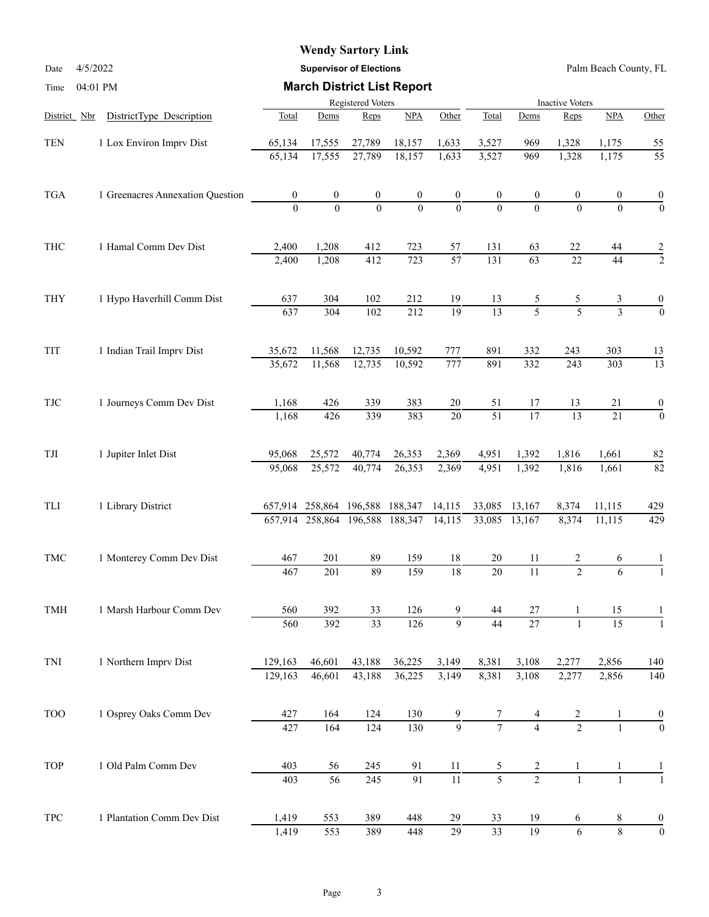Date 4/5/2022 **Supervisor of Elections** Palm Beach County, FL

| Time         | 04:01 PM                         |                   |                                 |                  | <b>March District List Report</b> |                  |                  |                        |                |                                                                                                                                                                                                                                                                                                                                                                                         |                                                                                              |  |  |
|--------------|----------------------------------|-------------------|---------------------------------|------------------|-----------------------------------|------------------|------------------|------------------------|----------------|-----------------------------------------------------------------------------------------------------------------------------------------------------------------------------------------------------------------------------------------------------------------------------------------------------------------------------------------------------------------------------------------|----------------------------------------------------------------------------------------------|--|--|
|              |                                  | Registered Voters |                                 |                  |                                   |                  |                  | <b>Inactive Voters</b> |                |                                                                                                                                                                                                                                                                                                                                                                                         |                                                                                              |  |  |
| District Nbr | DistrictType Description         | Total             | Dems                            | Reps             | NPA                               | Other            | Total            | Dems                   | Reps           | NPA                                                                                                                                                                                                                                                                                                                                                                                     | Other                                                                                        |  |  |
| <b>TEN</b>   | 1 Lox Environ Imprv Dist         | 65,134            | 17,555                          | 27,789           | 18,157                            | 1,633            | 3,527            | 969                    |                | 1,328<br>1,175<br>1,175<br>0<br>0<br>$\theta$<br>$\theta$<br>22<br>44<br>$\overline{22}$<br>44<br>5<br>3<br>$\overline{5}$<br>$\overline{3}$<br>243<br>303<br>$\overline{303}$<br>243<br>13<br>21<br>$\overline{13}$<br>$\overline{21}$<br>1,661<br>1,816<br>1,661<br>11,115<br>8,374<br>11,115<br>2<br>6<br>$\overline{2}$<br>6<br>15<br>15<br>$\mathbf{1}$<br>2,856<br>2,277<br>2,856 |                                                                                              |  |  |
|              |                                  | 65,134            | 17,555                          | 27,789           | 18,157                            | 1,633            | 3,527            | 969                    | 1,328          |                                                                                                                                                                                                                                                                                                                                                                                         | $\overline{55}$                                                                              |  |  |
| <b>TGA</b>   | 1 Greenacres Annexation Question | $\boldsymbol{0}$  | $\boldsymbol{0}$                | $\boldsymbol{0}$ | $\boldsymbol{0}$                  | $\boldsymbol{0}$ | $\boldsymbol{0}$ | $\boldsymbol{0}$       |                |                                                                                                                                                                                                                                                                                                                                                                                         | $\boldsymbol{0}$                                                                             |  |  |
|              |                                  | $\Omega$          | $\theta$                        | $\theta$         | $\Omega$                          | $\mathbf{0}$     | $\theta$         | $\Omega$               |                |                                                                                                                                                                                                                                                                                                                                                                                         | $\overline{0}$                                                                               |  |  |
| <b>THC</b>   | 1 Hamal Comm Dev Dist            | 2,400             | 1,208                           | 412              | 723                               | 57               | 131              | 63                     |                |                                                                                                                                                                                                                                                                                                                                                                                         | $\overline{c}$                                                                               |  |  |
|              |                                  | 2,400             | 1,208                           | 412              | 723                               | $\overline{57}$  | 131              | 63                     |                |                                                                                                                                                                                                                                                                                                                                                                                         |                                                                                              |  |  |
| <b>THY</b>   | 1 Hypo Haverhill Comm Dist       | 637               | 304                             | 102              | 212                               | 19               | 13               | 5                      |                |                                                                                                                                                                                                                                                                                                                                                                                         | 0                                                                                            |  |  |
|              |                                  | 637               | 304                             | 102              | 212                               | $\overline{19}$  | 13               | $\overline{5}$         |                |                                                                                                                                                                                                                                                                                                                                                                                         |                                                                                              |  |  |
| TIT          | 1 Indian Trail Imprv Dist        | 35,672            | 11,568                          | 12,735           | 10,592                            | 777              | 891              | 332                    |                |                                                                                                                                                                                                                                                                                                                                                                                         |                                                                                              |  |  |
|              |                                  | 35,672            | 11,568                          | 12,735           | 10,592                            | $\overline{777}$ | 891              | 332                    |                |                                                                                                                                                                                                                                                                                                                                                                                         | $\overline{13}$                                                                              |  |  |
| <b>TJC</b>   | 1 Journeys Comm Dev Dist         | 1,168             | 426                             | 339              | 383                               | $20\,$           | 51               | 17                     |                |                                                                                                                                                                                                                                                                                                                                                                                         | $\boldsymbol{0}$                                                                             |  |  |
|              |                                  | 1,168             | 426                             | 339              | 383                               | $\overline{20}$  | $\overline{51}$  | $\overline{17}$        |                |                                                                                                                                                                                                                                                                                                                                                                                         | $\mathbf{0}$                                                                                 |  |  |
| $\rm TJI$    | 1 Jupiter Inlet Dist             | 95,068            | 25,572                          | 40,774           | 26,353                            | 2,369            | 4,951            | 1,392                  | 1,816          |                                                                                                                                                                                                                                                                                                                                                                                         | 82                                                                                           |  |  |
|              |                                  | 95,068            | 25,572                          | 40,774           | 26,353                            | 2,369            | 4,951            | 1,392                  |                |                                                                                                                                                                                                                                                                                                                                                                                         |                                                                                              |  |  |
| TLI          | 1 Library District               |                   | 657,914 258,864 196,588 188,347 |                  |                                   | 14,115           | 33,085           | 13,167                 | 8,374          |                                                                                                                                                                                                                                                                                                                                                                                         | 429                                                                                          |  |  |
|              |                                  |                   | 657,914 258,864 196,588         |                  | 188,347                           | 14,115           | 33,085           | 13,167                 |                |                                                                                                                                                                                                                                                                                                                                                                                         |                                                                                              |  |  |
| TMC          | 1 Monterey Comm Dev Dist         | 467               | 201                             | 89               | 159                               | 18               | 20               | 11                     |                |                                                                                                                                                                                                                                                                                                                                                                                         |                                                                                              |  |  |
|              |                                  | 467               | 201                             | 89               | 159                               | $\overline{18}$  | 20               | $\overline{11}$        |                |                                                                                                                                                                                                                                                                                                                                                                                         |                                                                                              |  |  |
| TMH          | 1 Marsh Harbour Comm Dev         | 560               | 392                             | 33               | 126                               | 9                | 44               | 27                     |                |                                                                                                                                                                                                                                                                                                                                                                                         |                                                                                              |  |  |
|              |                                  | 560               | 392                             | $\overline{33}$  | 126                               | 9                | 44               | $\overline{27}$        |                |                                                                                                                                                                                                                                                                                                                                                                                         | 55<br>$\overline{2}$<br>$\mathbf{0}$<br>13<br>$\overline{82}$<br>429<br>140<br>$\frac{0}{0}$ |  |  |
| TNI          | 1 Northern Imprv Dist            | 129,163           | 46,601                          | 43,188           | 36,225                            | 3,149            | 8,381            | 3,108                  | 2,277          |                                                                                                                                                                                                                                                                                                                                                                                         | 140                                                                                          |  |  |
|              |                                  | 129,163           | 46,601                          | 43,188           | 36,225                            | 3,149            | 8,381            | 3,108                  |                |                                                                                                                                                                                                                                                                                                                                                                                         |                                                                                              |  |  |
| <b>TOO</b>   | 1 Osprey Oaks Comm Dev           | 427               | 164                             | 124              | 130                               | 9                |                  |                        | $rac{2}{2}$    |                                                                                                                                                                                                                                                                                                                                                                                         |                                                                                              |  |  |
|              |                                  | 427               | 164                             | 124              | 130                               | $\overline{9}$   | $\overline{7}$   | $\overline{4}$         |                |                                                                                                                                                                                                                                                                                                                                                                                         |                                                                                              |  |  |
| <b>TOP</b>   | 1 Old Palm Comm Dev              | 403               | 56                              | 245              | 91                                | 11               | 5                | 2                      | 1              | 1                                                                                                                                                                                                                                                                                                                                                                                       |                                                                                              |  |  |
|              |                                  | 403               | $\overline{56}$                 | 245              | 91                                | 11               | $\overline{5}$   | $\overline{2}$         | $\mathbf{1}$   | $\mathbf{1}$                                                                                                                                                                                                                                                                                                                                                                            |                                                                                              |  |  |
| TPC          | 1 Plantation Comm Dev Dist       | 1,419             | 553                             | 389              | 448                               | 29               | 33               | 19                     | 6              | 8                                                                                                                                                                                                                                                                                                                                                                                       | $\boldsymbol{0}$                                                                             |  |  |
|              |                                  | 1,419             | 553                             | 389              | 448                               | $\overline{29}$  | 33               | 19                     | $\overline{6}$ | $\overline{8}$                                                                                                                                                                                                                                                                                                                                                                          | $\boldsymbol{0}$                                                                             |  |  |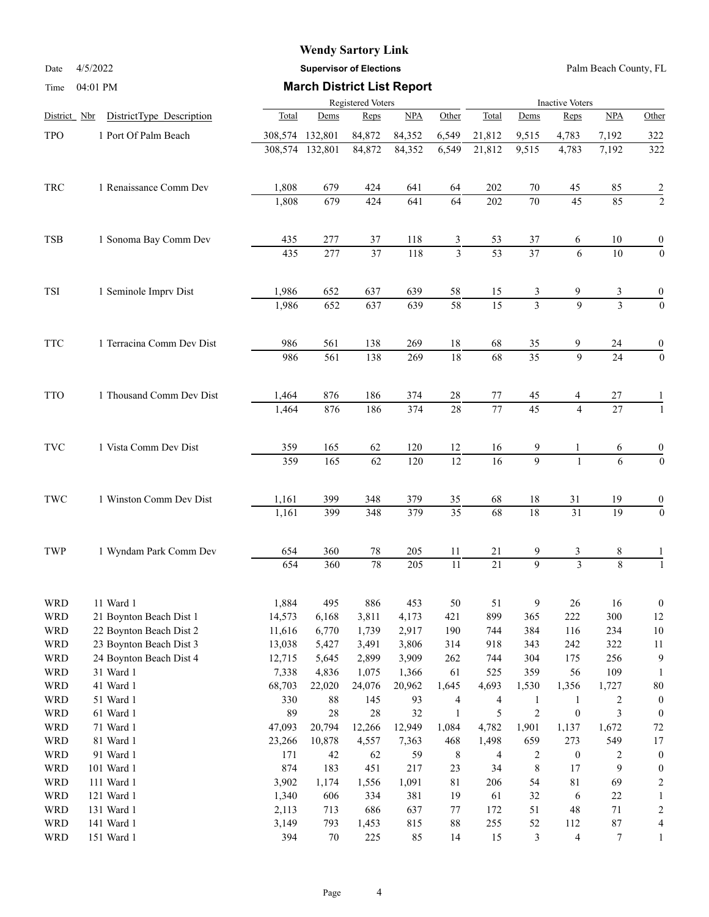Date 4/5/2022 **Supervisor of Elections** Palm Beach County, FL

| Time                 | 04:01 PM                  |                | <b>March District List Report</b> |                       |            |                                  |                       |                                 |                         |                     |                                    |  |  |  |  |  |  |
|----------------------|---------------------------|----------------|-----------------------------------|-----------------------|------------|----------------------------------|-----------------------|---------------------------------|-------------------------|---------------------|------------------------------------|--|--|--|--|--|--|
|                      |                           |                |                                   | Registered Voters     |            |                                  |                       |                                 | <b>Inactive Voters</b>  |                     |                                    |  |  |  |  |  |  |
| District Nbr         | DistrictType Description  | Total          | Dems                              | Reps                  | NPA        | Other                            | Total                 | Dems                            | Reps                    | NPA                 | Other                              |  |  |  |  |  |  |
| <b>TPO</b>           | 1 Port Of Palm Beach      | 308,574        | 132,801                           | 84,872                | 84,352     | 6,549                            | 21,812                | 9,515                           | 4,783                   | 7,192               | 322                                |  |  |  |  |  |  |
|                      |                           | 308,574        | 132,801                           | 84,872                | 84,352     | 6,549                            | 21,812                | 9,515                           | 4,783                   | 7,192               | 322                                |  |  |  |  |  |  |
| TRC                  | 1 Renaissance Comm Dev    | 1,808          | 679                               | 424                   | 641        | 64                               | 202                   | 70                              | 45                      | 85                  | $\overline{c}$                     |  |  |  |  |  |  |
|                      |                           | 1,808          | 679                               | 424                   | 641        | 64                               | 202                   | 70                              | 45                      | 85                  | $\overline{c}$                     |  |  |  |  |  |  |
|                      |                           |                |                                   |                       |            |                                  |                       |                                 |                         |                     |                                    |  |  |  |  |  |  |
| <b>TSB</b>           | 1 Sonoma Bay Comm Dev     | 435<br>435     | 277<br>277                        | 37<br>$\overline{37}$ | 118<br>118 | $\overline{3}$<br>$\overline{3}$ | 53<br>$\overline{53}$ | 37<br>$\overline{37}$           | 6<br>6                  | 10<br>10            | $\boldsymbol{0}$<br>$\overline{0}$ |  |  |  |  |  |  |
|                      |                           |                |                                   |                       |            |                                  |                       |                                 |                         |                     |                                    |  |  |  |  |  |  |
| TSI                  | 1 Seminole Imprv Dist     | 1,986<br>1,986 | 652<br>$\overline{652}$           | 637<br>637            | 639<br>639 | 58<br>$\overline{58}$            | 15<br>$\overline{15}$ | $\frac{3}{2}$<br>$\overline{3}$ | 9<br>$\mathbf{Q}$       | 3<br>$\overline{3}$ | 0<br>$\overline{0}$                |  |  |  |  |  |  |
|                      |                           |                |                                   |                       |            |                                  |                       |                                 |                         |                     |                                    |  |  |  |  |  |  |
| <b>TTC</b>           | 1 Terracina Comm Dev Dist | 986            | 561                               | 138                   | 269        | 18                               | 68                    | 35                              | 9                       | 24                  | 0                                  |  |  |  |  |  |  |
|                      |                           | 986            | $\overline{561}$                  | 138                   | 269        | $\overline{18}$                  | $\overline{68}$       | $\overline{35}$                 | $\overline{9}$          | $\overline{24}$     | $\overline{0}$                     |  |  |  |  |  |  |
| <b>TTO</b>           | 1 Thousand Comm Dev Dist  | 1,464          | 876                               | 186                   | 374        | 28                               | 77                    | 45                              | 4                       | 27                  |                                    |  |  |  |  |  |  |
|                      |                           | 1,464          | 876                               | 186                   | 374        | $\overline{28}$                  | 77                    | $\overline{45}$                 | $\overline{4}$          | $\overline{27}$     |                                    |  |  |  |  |  |  |
| $\operatorname{TVC}$ | 1 Vista Comm Dev Dist     | 359            | 165                               | 62                    | 120        | 12                               | 16                    | 9                               | 1                       | 6                   | 0                                  |  |  |  |  |  |  |
|                      |                           | 359            | 165                               | 62                    | 120        | $\overline{12}$                  | 16                    | $\overline{9}$                  | $\mathbf{1}$            | 6                   | $\overline{0}$                     |  |  |  |  |  |  |
| $\operatorname{TWC}$ | 1 Winston Comm Dev Dist   | 1,161          | 399                               | 348                   | 379        | 35                               | 68                    | $18\,$                          | 31                      | 19                  | 0                                  |  |  |  |  |  |  |
|                      |                           | 1,161          | 399                               | 348                   | 379        | $\overline{35}$                  | $\overline{68}$       | 18                              | $\overline{31}$         | 19                  | $\overline{0}$                     |  |  |  |  |  |  |
| TWP                  | 1 Wyndam Park Comm Dev    | 654            | 360                               | 78                    | 205        | 11                               | 21                    | 9                               | 3                       | 8                   |                                    |  |  |  |  |  |  |
|                      |                           | 654            | 360                               | 78                    | 205        | 11                               | $\overline{21}$       | $\overline{9}$                  | $\overline{\mathbf{3}}$ | $\overline{8}$      |                                    |  |  |  |  |  |  |
| <b>WRD</b>           | 11 Ward 1                 | 1,884          | 495                               | 886                   | 453        | $50\,$                           | 51                    | $\mathbf{9}$                    | $26\,$                  | 16                  | $\mathbf{0}$                       |  |  |  |  |  |  |
| <b>WRD</b>           | 21 Boynton Beach Dist 1   | 14,573         | 6,168                             | 3,811                 | 4,173      | 421                              | 899                   | 365                             | 222                     | 300                 | 12                                 |  |  |  |  |  |  |
| <b>WRD</b>           | 22 Boynton Beach Dist 2   | 11,616         | 6,770                             | 1,739                 | 2,917      | 190                              | 744                   | 384                             | 116                     | 234                 | 10                                 |  |  |  |  |  |  |
| <b>WRD</b>           | 23 Boynton Beach Dist 3   | 13,038         | 5,427                             | 3,491                 | 3,806      | 314                              | 918                   | 343                             | 242                     | 322                 | 11                                 |  |  |  |  |  |  |
| <b>WRD</b>           | 24 Boynton Beach Dist 4   | 12,715         | 5,645                             | 2,899                 | 3,909      | 262                              | 744                   | 304                             | 175                     | 256                 | 9                                  |  |  |  |  |  |  |
| <b>WRD</b>           | 31 Ward 1                 | 7,338          | 4,836                             | 1,075                 | 1,366      | 61                               | 525                   | 359                             | 56                      | 109                 |                                    |  |  |  |  |  |  |
| <b>WRD</b>           | 41 Ward 1                 | 68,703         | 22,020                            | 24,076                | 20,962     | 1,645                            | 4,693                 | 1,530                           | 1,356                   | 1,727               | 80                                 |  |  |  |  |  |  |
| <b>WRD</b>           | 51 Ward 1                 | 330            | $88\,$                            | 145                   | 93         | $\overline{\mathbf{4}}$          | $\overline{4}$        | $\mathbf{1}$                    | $\mathbf{1}$            | $\boldsymbol{2}$    | $\boldsymbol{0}$                   |  |  |  |  |  |  |
| <b>WRD</b>           | 61 Ward 1                 | 89             | $28\,$                            | 28                    | 32         | $\mathbf{1}$                     | 5                     | $\sqrt{2}$                      | $\boldsymbol{0}$        | 3                   | $\mathbf{0}$                       |  |  |  |  |  |  |
| <b>WRD</b>           | 71 Ward 1                 | 47,093         | 20,794                            | 12,266                | 12,949     | 1,084                            | 4,782                 | 1,901                           | 1,137                   | 1,672               | 72                                 |  |  |  |  |  |  |
| <b>WRD</b>           | 81 Ward 1                 | 23,266         | 10,878                            | 4,557                 | 7,363      | 468                              | 1,498                 | 659                             | 273                     | 549                 | 17                                 |  |  |  |  |  |  |
| <b>WRD</b>           | 91 Ward 1                 | 171            | 42                                | 62                    | 59         | 8                                | 4                     | $\overline{c}$                  | $\boldsymbol{0}$        | $\overline{c}$      | $\mathbf{0}$                       |  |  |  |  |  |  |
| <b>WRD</b>           | 101 Ward 1                | 874            | 183                               | 451                   | 217        | 23                               | 34                    | 8                               | 17                      | 9                   | $\mathbf{0}$                       |  |  |  |  |  |  |
| <b>WRD</b>           | 111 Ward 1                | 3,902          | 1,174                             | 1,556                 | 1,091      | $81\,$                           | 206                   | 54                              | $81\,$                  | 69                  | $\overline{2}$                     |  |  |  |  |  |  |
| <b>WRD</b>           | 121 Ward 1                | 1,340          | 606                               | 334                   | 381        | 19                               | 61                    | 32                              | 6                       | $22\,$              |                                    |  |  |  |  |  |  |
| <b>WRD</b>           | 131 Ward 1                | 2,113          | 713                               | 686                   | 637        | $77 \,$                          | 172                   | 51                              | $\sqrt{48}$             | $71\,$              | 2                                  |  |  |  |  |  |  |
| <b>WRD</b>           | 141 Ward 1                | 3,149          | 793                               | 1,453                 | 815        | $88\,$                           | 255                   | 52                              | 112                     | $87\,$              |                                    |  |  |  |  |  |  |
| <b>WRD</b>           | 151 Ward 1                | 394            | 70                                | 225                   | 85         | 14                               | 15                    | $\mathfrak{Z}$                  | $\overline{\mathbf{4}}$ | $7\phantom{.0}$     |                                    |  |  |  |  |  |  |